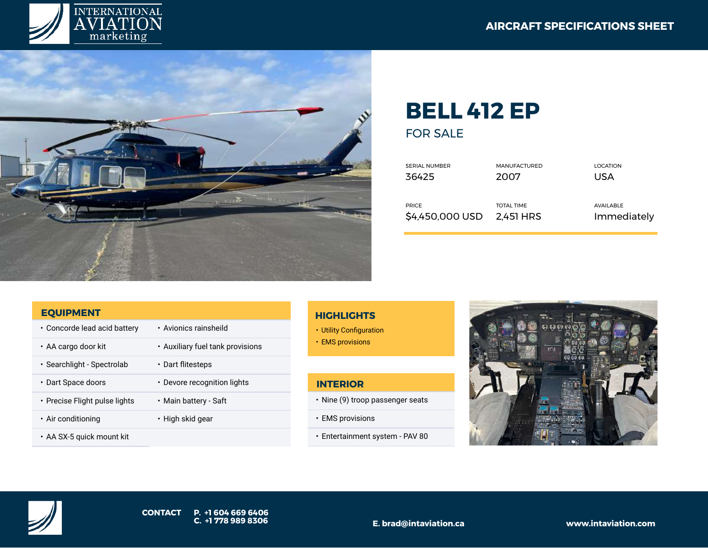



# **BELL 412 EP**

FOR SALE

| <b>SERIAL NUMBER</b> | <b>MANUFACTURED</b> | LOCATION    |
|----------------------|---------------------|-------------|
| 36425                | 2007                | USA         |
|                      |                     |             |
|                      |                     |             |
| <b>PRICE</b>         | <b>TOTAL TIME</b>   | AVAILABLE   |
| \$4,450,000 USD      | 2.451 HRS           | Immediately |
|                      |                     |             |

#### **EQUIPMENT**

- Concorde lead acid battery Avionics rainsheild • AA cargo door kit • Auxiliary fuel tank provisions • Searchlight - Spectrolab • Dart flitesteps • Dart Space doors • Devore recognition lights • Precise Flight pulse lights • Main battery - Saft • Air conditioning • High skid gear
- AA SX-5 quick mount kit

## **HIGHLIGHTS**

- Utility Configuration
- EMS provisions

## **INTERIOR**

- Nine (9) troop passenger seats
- EMS provisions
- Entertainment system PAV 80



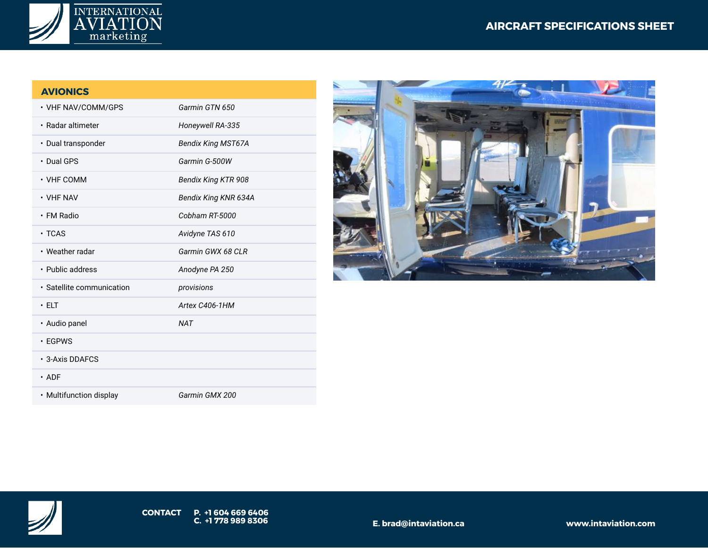

## **AVIONICS**

| • VHF NAV/COMM/GPS        | Garmin GTN 650             |
|---------------------------|----------------------------|
| • Radar altimeter         | Honeywell RA-335           |
| · Dual transponder        | <b>Bendix King MST67A</b>  |
| • Dual GPS                | Garmin G-500W              |
| $\cdot$ VHF COMM          | <b>Bendix King KTR 908</b> |
| $\cdot$ VHF NAV           | Bendix King KNR 634A       |
| • FM Radio                | Cobham RT-5000             |
| $\cdot$ TCAS              | Avidyne TAS 610            |
| • Weather radar           | Garmin GWX 68 CLR          |
| • Public address          | Anodyne PA 250             |
| · Satellite communication | provisions                 |
| $\cdot$ ELT               | Artex C406-1HM             |
| • Audio panel             | <b>NAT</b>                 |
| $\cdot$ EGPWS             |                            |
| • 3-Axis DDAFCS           |                            |
| $\cdot$ ADF               |                            |
| • Multifunction display   | Garmin GMX 200             |